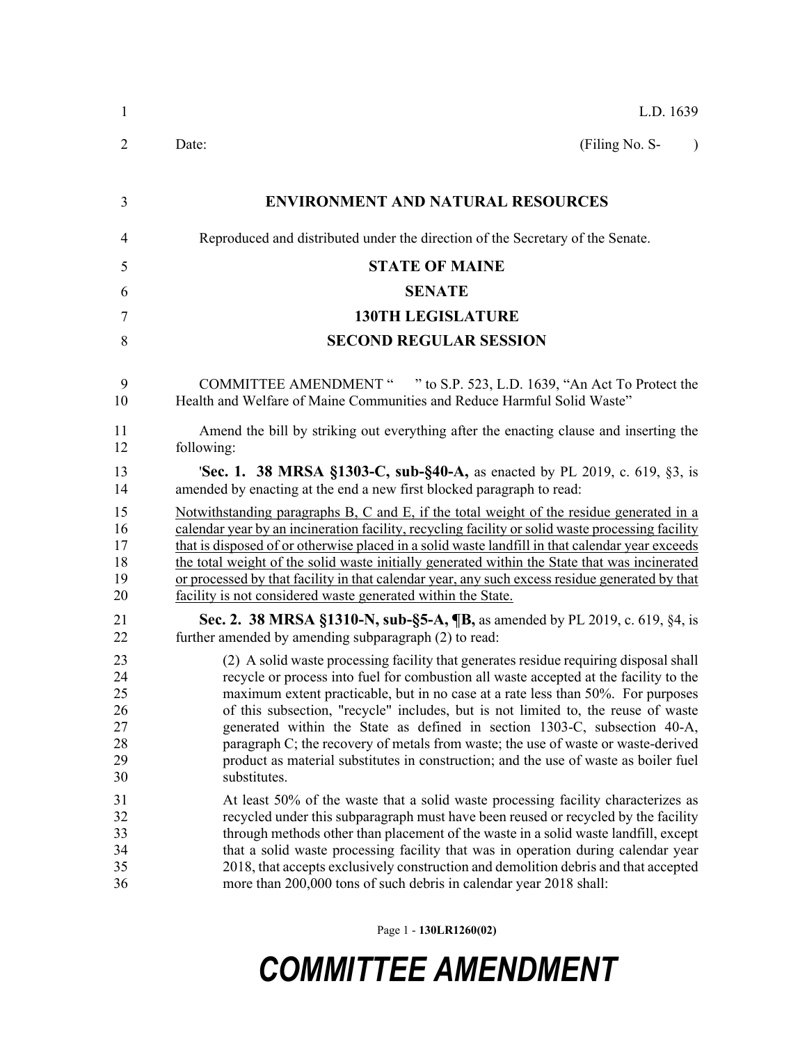| $\mathbf{1}$                                 | L.D. 1639                                                                                                                                                                                                                                                                                                                                                                                                                                                                                                                                                                                                                         |  |  |  |  |
|----------------------------------------------|-----------------------------------------------------------------------------------------------------------------------------------------------------------------------------------------------------------------------------------------------------------------------------------------------------------------------------------------------------------------------------------------------------------------------------------------------------------------------------------------------------------------------------------------------------------------------------------------------------------------------------------|--|--|--|--|
| $\overline{2}$                               | (Filing No. S-<br>Date:<br>$\lambda$                                                                                                                                                                                                                                                                                                                                                                                                                                                                                                                                                                                              |  |  |  |  |
| 3                                            | <b>ENVIRONMENT AND NATURAL RESOURCES</b>                                                                                                                                                                                                                                                                                                                                                                                                                                                                                                                                                                                          |  |  |  |  |
| 4                                            | Reproduced and distributed under the direction of the Secretary of the Senate.                                                                                                                                                                                                                                                                                                                                                                                                                                                                                                                                                    |  |  |  |  |
|                                              |                                                                                                                                                                                                                                                                                                                                                                                                                                                                                                                                                                                                                                   |  |  |  |  |
| 5                                            | <b>STATE OF MAINE</b>                                                                                                                                                                                                                                                                                                                                                                                                                                                                                                                                                                                                             |  |  |  |  |
| 6                                            | <b>SENATE</b>                                                                                                                                                                                                                                                                                                                                                                                                                                                                                                                                                                                                                     |  |  |  |  |
| 7                                            | <b>130TH LEGISLATURE</b>                                                                                                                                                                                                                                                                                                                                                                                                                                                                                                                                                                                                          |  |  |  |  |
| 8                                            | <b>SECOND REGULAR SESSION</b>                                                                                                                                                                                                                                                                                                                                                                                                                                                                                                                                                                                                     |  |  |  |  |
| 9<br>10                                      | COMMITTEE AMENDMENT " " to S.P. 523, L.D. 1639, "An Act To Protect the<br>Health and Welfare of Maine Communities and Reduce Harmful Solid Waste"                                                                                                                                                                                                                                                                                                                                                                                                                                                                                 |  |  |  |  |
| 11<br>12                                     | Amend the bill by striking out everything after the enacting clause and inserting the<br>following:                                                                                                                                                                                                                                                                                                                                                                                                                                                                                                                               |  |  |  |  |
| 13<br>14                                     | <b>Sec. 1. 38 MRSA §1303-C, sub-§40-A, as enacted by PL 2019, c. 619, §3, is</b><br>amended by enacting at the end a new first blocked paragraph to read:                                                                                                                                                                                                                                                                                                                                                                                                                                                                         |  |  |  |  |
| 15<br>16<br>17<br>18<br>19<br>20             | Notwithstanding paragraphs $B$ , $C$ and $E$ , if the total weight of the residue generated in a<br>calendar year by an incineration facility, recycling facility or solid waste processing facility<br>that is disposed of or otherwise placed in a solid waste landfill in that calendar year exceeds<br>the total weight of the solid waste initially generated within the State that was incinerated<br>or processed by that facility in that calendar year, any such excess residue generated by that<br>facility is not considered waste generated within the State.                                                        |  |  |  |  |
| 21<br>22                                     | Sec. 2. 38 MRSA §1310-N, sub-§5-A, ¶B, as amended by PL 2019, c. 619, §4, is<br>further amended by amending subparagraph (2) to read:                                                                                                                                                                                                                                                                                                                                                                                                                                                                                             |  |  |  |  |
| 23<br>24<br>25<br>26<br>27<br>28<br>29<br>30 | (2) A solid waste processing facility that generates residue requiring disposal shall<br>recycle or process into fuel for combustion all waste accepted at the facility to the<br>maximum extent practicable, but in no case at a rate less than 50%. For purposes<br>of this subsection, "recycle" includes, but is not limited to, the reuse of waste<br>generated within the State as defined in section 1303-C, subsection 40-A,<br>paragraph C; the recovery of metals from waste; the use of waste or waste-derived<br>product as material substitutes in construction; and the use of waste as boiler fuel<br>substitutes. |  |  |  |  |
| 31<br>32<br>33<br>34<br>35<br>36             | At least 50% of the waste that a solid waste processing facility characterizes as<br>recycled under this subparagraph must have been reused or recycled by the facility<br>through methods other than placement of the waste in a solid waste landfill, except<br>that a solid waste processing facility that was in operation during calendar year<br>2018, that accepts exclusively construction and demolition debris and that accepted<br>more than 200,000 tons of such debris in calendar year 2018 shall:                                                                                                                  |  |  |  |  |

Page 1 - **130LR1260(02)**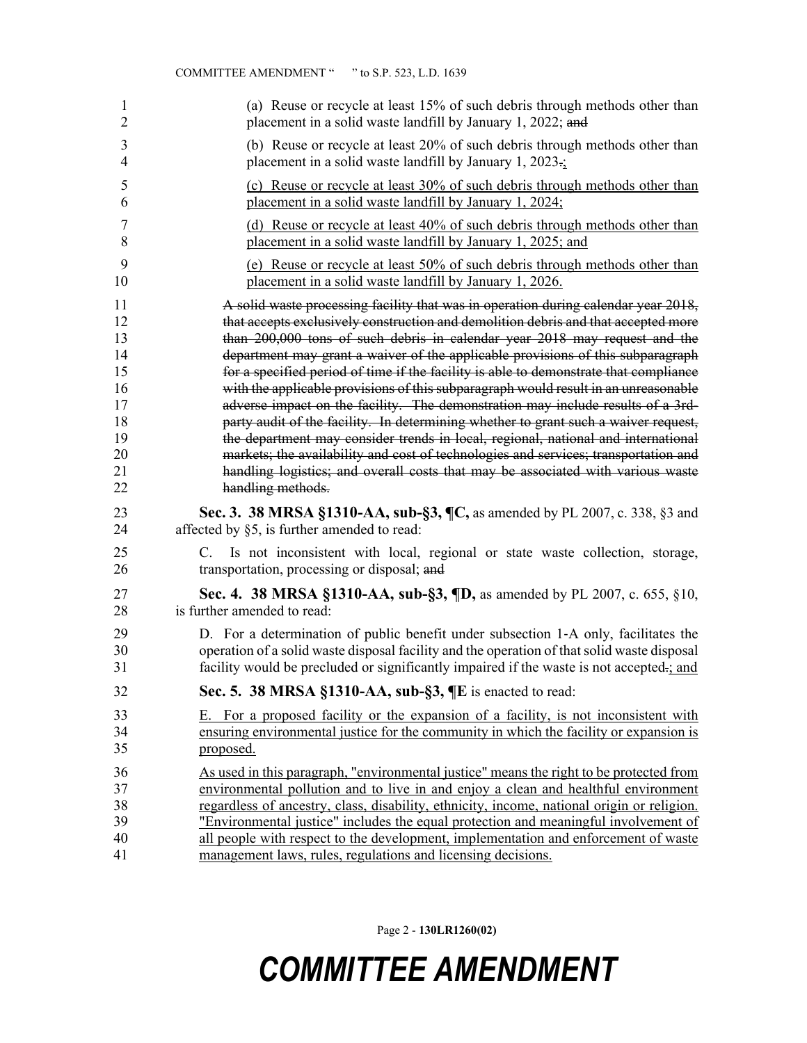|                | <b>COMMITTEE AMENDMENT "</b><br>" to S.P. 523, L.D. 1639                                                                          |
|----------------|-----------------------------------------------------------------------------------------------------------------------------------|
| 1              | (a) Reuse or recycle at least 15% of such debris through methods other than                                                       |
| $\overline{c}$ | placement in a solid waste landfill by January 1, 2022; and                                                                       |
| $\mathfrak{Z}$ | (b) Reuse or recycle at least 20% of such debris through methods other than                                                       |
| 4              | placement in a solid waste landfill by January 1, $2023\div$                                                                      |
| 5              | (c) Reuse or recycle at least 30% of such debris through methods other than                                                       |
| 6              | placement in a solid waste landfill by January 1, 2024;                                                                           |
| 7              | (d) Reuse or recycle at least 40% of such debris through methods other than                                                       |
| 8              | placement in a solid waste landfill by January 1, 2025; and                                                                       |
| 9              | (e) Reuse or recycle at least 50% of such debris through methods other than                                                       |
| 10             | placement in a solid waste landfill by January 1, 2026.                                                                           |
| 11             | A solid waste processing facility that was in operation during calendar year 2018,                                                |
| 12             | that accepts exclusively construction and demolition debris and that accepted more                                                |
| 13             | than 200,000 tons of such debris in calendar year 2018 may request and the                                                        |
| 14             | department may grant a waiver of the applicable provisions of this subparagraph                                                   |
| 15             | for a specified period of time if the facility is able to demonstrate that compliance                                             |
| 16             | with the applicable provisions of this subparagraph would result in an unreasonable                                               |
| 17             | adverse impact on the facility. The demonstration may include results of a 3rd-                                                   |
| 18             | party audit of the facility. In determining whether to grant such a waiver request,                                               |
| 19             | the department may consider trends in local, regional, national and international                                                 |
| 20             | markets; the availability and cost of technologies and services; transportation and                                               |
| 21             | handling logistics; and overall costs that may be associated with various waste                                                   |
| 22             | handling methods.                                                                                                                 |
| 23             | Sec. 3. 38 MRSA §1310-AA, sub-§3, ¶C, as amended by PL 2007, c. 338, §3 and                                                       |
| 24             | affected by §5, is further amended to read:                                                                                       |
| 25<br>26       | Is not inconsistent with local, regional or state waste collection, storage,<br>C.<br>transportation, processing or disposal; and |
| 27             | Sec. 4. 38 MRSA §1310-AA, sub-§3, ¶D, as amended by PL 2007, c. 655, §10,                                                         |
| 28             | is further amended to read:                                                                                                       |
| 29             | D. For a determination of public benefit under subsection 1-A only, facilitates the                                               |
| 30             | operation of a solid waste disposal facility and the operation of that solid waste disposal                                       |
| 31             | facility would be precluded or significantly impaired if the waste is not accepted-; and                                          |
| 32             | Sec. 5. 38 MRSA §1310-AA, sub-§3, ¶E is enacted to read:                                                                          |
| 33             | E. For a proposed facility or the expansion of a facility, is not inconsistent with                                               |
| 34             | ensuring environmental justice for the community in which the facility or expansion is                                            |
| 35             | proposed.                                                                                                                         |
| 36             | As used in this paragraph, "environmental justice" means the right to be protected from                                           |
| 37             | environmental pollution and to live in and enjoy a clean and healthful environment                                                |
| 38             | regardless of ancestry, class, disability, ethnicity, income, national origin or religion.                                        |
| 39             | "Environmental justice" includes the equal protection and meaningful involvement of                                               |
| 40             | all people with respect to the development, implementation and enforcement of waste                                               |
| 41             | management laws, rules, regulations and licensing decisions.                                                                      |

Page 2 - **130LR1260(02)**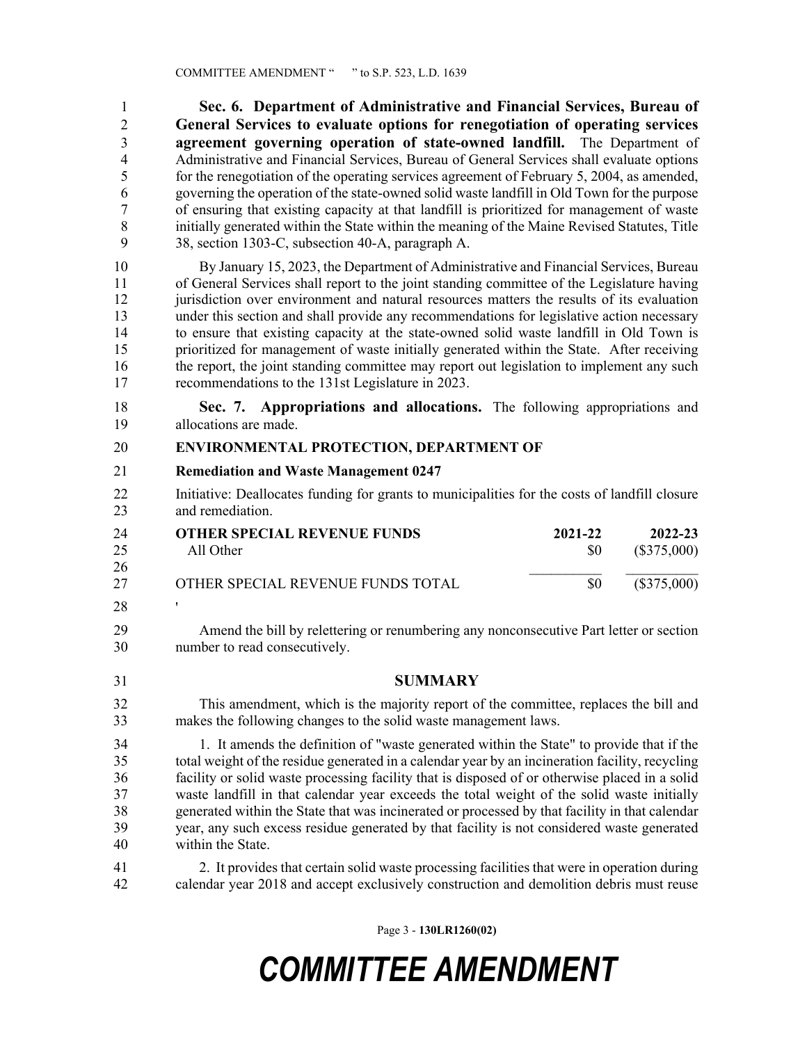1 **Sec. 6. Department of Administrative and Financial Services, Bureau of**  2 **General Services to evaluate options for renegotiation of operating services**  3 **agreement governing operation of state-owned landfill.** The Department of 4 Administrative and Financial Services, Bureau of General Services shall evaluate options 5 for the renegotiation of the operating services agreement of February 5, 2004, as amended, 6 governing the operation of the state-owned solid waste landfill in Old Town for the purpose 7 of ensuring that existing capacity at that landfill is prioritized for management of waste 8 initially generated within the State within the meaning of the Maine Revised Statutes, Title 9 38, section 1303-C, subsection 40-A, paragraph A.

10 By January 15, 2023, the Department of Administrative and Financial Services, Bureau 11 of General Services shall report to the joint standing committee of the Legislature having 12 jurisdiction over environment and natural resources matters the results of its evaluation 13 under this section and shall provide any recommendations for legislative action necessary 14 to ensure that existing capacity at the state-owned solid waste landfill in Old Town is 15 prioritized for management of waste initially generated within the State. After receiving 16 the report, the joint standing committee may report out legislation to implement any such 17 recommendations to the 131st Legislature in 2023.

18 **Sec. 7. Appropriations and allocations.** The following appropriations and 19 allocations are made.

### 20 **ENVIRONMENTAL PROTECTION, DEPARTMENT OF**

### 21 **Remediation and Waste Management 0247**

22 Initiative: Deallocates funding for grants to municipalities for the costs of landfill closure 23 and remediation.

| 24 | <b>OTHER SPECIAL REVENUE FUNDS</b> | 2021-22 | 2022-23     |
|----|------------------------------------|---------|-------------|
| 25 | All Other                          | SO.     | (\$375,000) |
| 26 |                                    |         |             |
| 27 | OTHER SPECIAL REVENUE FUNDS TOTAL  | \$0     | (\$375,000) |
| 28 |                                    |         |             |

29 Amend the bill by relettering or renumbering any nonconsecutive Part letter or section 30 number to read consecutively.

31 **SUMMARY**

This amendment, which is the majority report of the committee, replaces the bill and makes the following changes to the solid waste management laws. 32 33

34 1. It amends the definition of "waste generated within the State" to provide that if the 35 total weight of the residue generated in a calendar year by an incineration facility, recycling 36 facility or solid waste processing facility that is disposed of or otherwise placed in a solid 37 waste landfill in that calendar year exceeds the total weight of the solid waste initially 38 generated within the State that was incinerated or processed by that facility in that calendar 39 year, any such excess residue generated by that facility is not considered waste generated 40 within the State.

41 2. It provides that certain solid waste processing facilities that were in operation during 42 calendar year 2018 and accept exclusively construction and demolition debris must reuse

Page 3 - **130LR1260(02)**